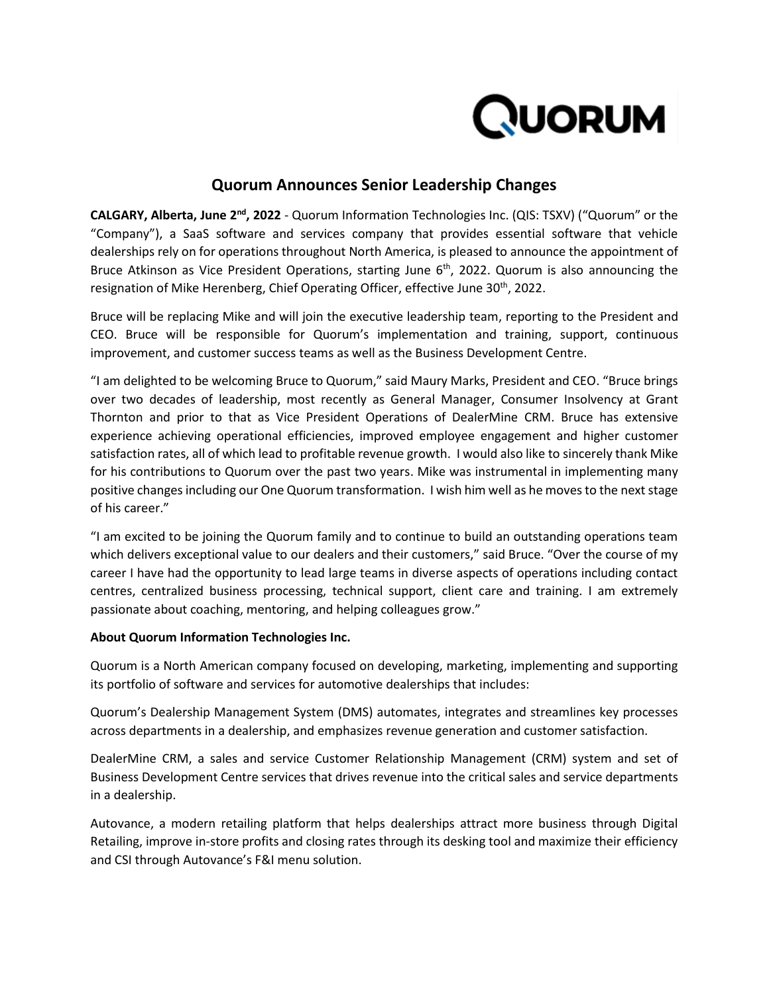

## **Quorum Announces Senior Leadership Changes**

**CALGARY, Alberta, June 2 nd, 2022** - Quorum Information Technologies Inc. (QIS: TSXV) ("Quorum" or the "Company"), a SaaS software and services company that provides essential software that vehicle dealerships rely on for operations throughout North America, is pleased to announce the appointment of Bruce Atkinson as Vice President Operations, starting June 6<sup>th</sup>, 2022. Quorum is also announcing the resignation of Mike Herenberg, Chief Operating Officer, effective June 30<sup>th</sup>, 2022.

Bruce will be replacing Mike and will join the executive leadership team, reporting to the President and CEO. Bruce will be responsible for Quorum's implementation and training, support, continuous improvement, and customer success teams as well as the Business Development Centre.

"I am delighted to be welcoming Bruce to Quorum," said Maury Marks, President and CEO. "Bruce brings over two decades of leadership, most recently as General Manager, Consumer Insolvency at Grant Thornton and prior to that as Vice President Operations of DealerMine CRM. Bruce has extensive experience achieving operational efficiencies, improved employee engagement and higher customer satisfaction rates, all of which lead to profitable revenue growth. I would also like to sincerely thank Mike for his contributions to Quorum over the past two years. Mike was instrumental in implementing many positive changes including our One Quorum transformation. I wish him well as he moves to the next stage of his career."

"I am excited to be joining the Quorum family and to continue to build an outstanding operations team which delivers exceptional value to our dealers and their customers," said Bruce. "Over the course of my career I have had the opportunity to lead large teams in diverse aspects of operations including contact centres, centralized business processing, technical support, client care and training. I am extremely passionate about coaching, mentoring, and helping colleagues grow."

## **About Quorum Information Technologies Inc.**

Quorum is a North American company focused on developing, marketing, implementing and supporting its portfolio of software and services for automotive dealerships that includes:

Quorum's Dealership Management System (DMS) automates, integrates and streamlines key processes across departments in a dealership, and emphasizes revenue generation and customer satisfaction.

DealerMine CRM, a sales and service Customer Relationship Management (CRM) system and set of Business Development Centre services that drives revenue into the critical sales and service departments in a dealership.

Autovance, a modern retailing platform that helps dealerships attract more business through Digital Retailing, improve in-store profits and closing rates through its desking tool and maximize their efficiency and CSI through Autovance's F&I menu solution.